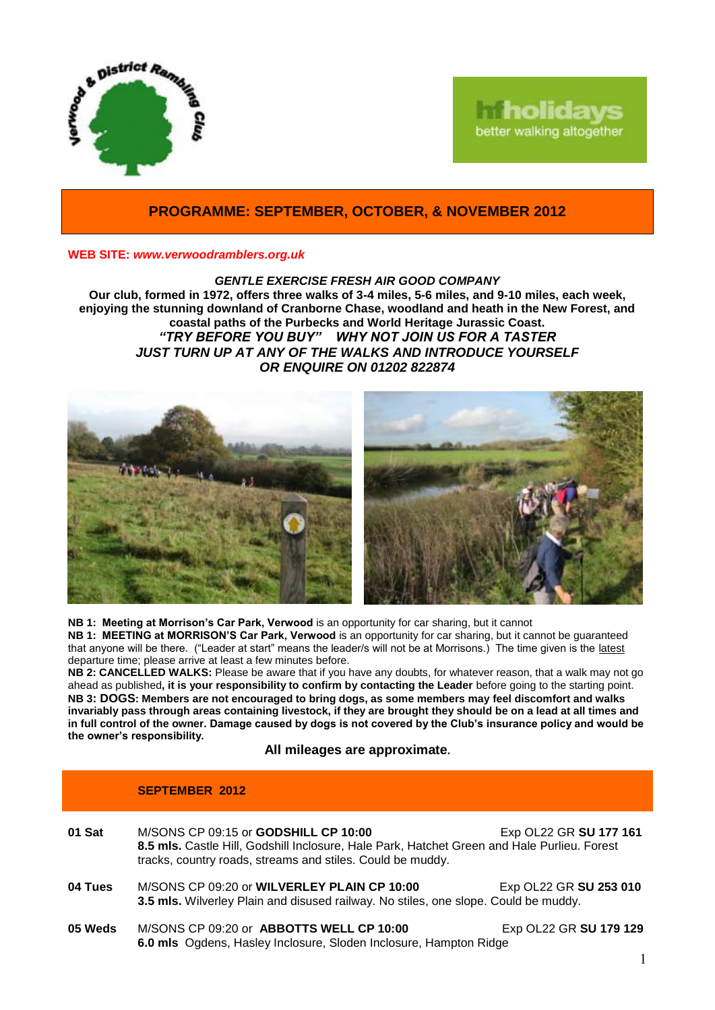

# **holidays** better walking altogether

## **PROGRAMME: SEPTEMBER, OCTOBER, & NOVEMBER 2012**

#### **WEB SITE:** *[www.verwoodramblers.org.uk](http://www.verwoodramblers.org.uk/)*

*GENTLE EXERCISE FRESH AIR GOOD COMPANY* **Our club, formed in 1972, offers three walks of 3-4 miles, 5-6 miles, and 9-10 miles, each week, enjoying the stunning downland of Cranborne Chase, woodland and heath in the New Forest, and coastal paths of the Purbecks and World Heritage Jurassic Coast.** *"TRY BEFORE YOU BUY" WHY NOT JOIN US FOR A TASTER JUST TURN UP AT ANY OF THE WALKS AND INTRODUCE YOURSELF OR ENQUIRE ON 01202 822874*



**NB 1: Meeting at Morrison's Car Park, Verwood** is an opportunity for car sharing, but it cannot **NB 1: MEETING at MORRISON'S Car Park, Verwood** is an opportunity for car sharing, but it cannot be guaranteed that anyone will be there. ("Leader at start" means the leader/s will not be at Morrisons.) The time given is the latest departure time; please arrive at least a few minutes before.

**NB 2: CANCELLED WALKS:** Please be aware that if you have any doubts, for whatever reason, that a walk may not go ahead as published**, it is your responsibility to confirm by contacting the Leader** before going to the starting point. **NB 3: DOGS: Members are not encouraged to bring dogs, as some members may feel discomfort and walks invariably pass through areas containing livestock, if they are brought they should be on a lead at all times and in full control of the owner. Damage caused by dogs is not covered by the Club's insurance policy and would be the owner's responsibility.**

#### **All mileages are approximate.**

|         | <b>SEPTEMBER 2012</b>                                                                                                                                                                                    |                        |
|---------|----------------------------------------------------------------------------------------------------------------------------------------------------------------------------------------------------------|------------------------|
| 01 Sat  | M/SONS CP 09:15 or <b>GODSHILL CP 10:00</b><br>8.5 mls. Castle Hill, Godshill Inclosure, Hale Park, Hatchet Green and Hale Purlieu. Forest<br>tracks, country roads, streams and stiles. Could be muddy. | Exp OL22 GR SU 177 161 |
| 04 Tues | M/SONS CP 09:20 or WILVERLEY PLAIN CP 10:00                                                                                                                                                              | Exp OL22 GR SU 253 010 |

- **3.5 mls.** Wilverley Plain and disused railway. No stiles, one slope. Could be muddy.
- **05 Weds** M/SONS CP 09:20 or **ABBOTTS WELL CP 10:00** Exp OL22 GR **SU 179 129 6.0 mls** Ogdens, Hasley Inclosure, Sloden Inclosure, Hampton Ridge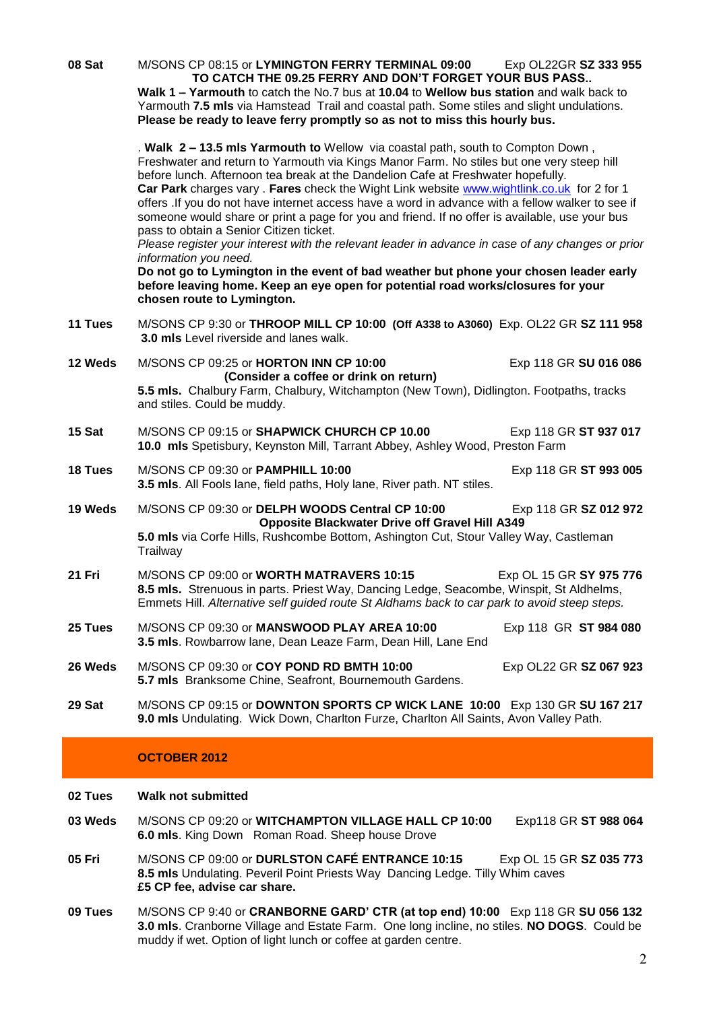**08 Sat** M/SONS CP 08:15 or **LYMINGTON FERRY TERMINAL 09:00** Exp OL22GR **SZ 333 955 TO CATCH THE 09.25 FERRY AND DON'T FORGET YOUR BUS PASS.. Walk 1 – Yarmouth** to catch the No.7 bus at **10.04** to **Wellow bus station** and walk back to Yarmouth **7.5 mls** via Hamstead Trail and coastal path. Some stiles and slight undulations. **Please be ready to leave ferry promptly so as not to miss this hourly bus.** . **Walk 2 – 13.5 mls Yarmouth to** Wellow via coastal path, south to Compton Down , Freshwater and return to Yarmouth via Kings Manor Farm. No stiles but one very steep hill before lunch. Afternoon tea break at the Dandelion Cafe at Freshwater hopefully. **Car Park** charges vary . **Fares** check the Wight Link website [www.wightlink.co.uk](http://www.wightlink.co.uk/) for 2 for 1 offers .If you do not have internet access have a word in advance with a fellow walker to see if someone would share or print a page for you and friend. If no offer is available, use your bus pass to obtain a Senior Citizen ticket. *Please register your interest with the relevant leader in advance in case of any changes or prior information you need.* **Do not go to Lymington in the event of bad weather but phone your chosen leader early before leaving home. Keep an eye open for potential road works/closures for your chosen route to Lymington. 11 Tues** M/SONS CP 9:30 or **THROOP MILL CP 10:00 (Off A338 to A3060)** Exp. OL22 GR **SZ 111 958 3.0 mls** Level riverside and lanes walk. **12 Weds** M/SONS CP 09:25 or **HORTON INN CP 10:00** Exp 118 GR **SU 016 086 (Consider a coffee or drink on return) 5.5 mls.** Chalbury Farm, Chalbury, Witchampton (New Town), Didlington. Footpaths, tracks and stiles. Could be muddy. **15 Sat** M/SONS CP 09:15 or **SHAPWICK CHURCH CP 10.00** Exp 118 GR **ST 937 017 10.0 mls** Spetisbury, Keynston Mill, Tarrant Abbey, Ashley Wood, Preston Farm **18 Tues** M/SONS CP 09:30 or **PAMPHILL 10:00** Exp 118 GR **ST 993 005 3.5 mls**. All Fools lane, field paths, Holy lane, River path. NT stiles. **19 Weds** M/SONS CP 09:30 or **DELPH WOODS Central CP 10:00** Exp 118 GR **SZ 012 972 Opposite Blackwater Drive off Gravel Hill A349 5.0 mls** via Corfe Hills, Rushcombe Bottom, Ashington Cut, Stour Valley Way, Castleman **Trailway 21 Fri** M/SONS CP 09:00 or **WORTH MATRAVERS 10:15** Exp OL 15 GR **SY 975 776 8.5 mls.** Strenuous in parts. Priest Way, Dancing Ledge, Seacombe, Winspit, St Aldhelms, Emmets Hill. *Alternative self guided route St Aldhams back to car park to avoid steep steps.* **25 Tues** M/SONS CP 09:30 or **MANSWOOD PLAY AREA 10:00** Exp 118 GR **ST 984 080 3.5 mls**. Rowbarrow lane, Dean Leaze Farm, Dean Hill, Lane End **26 Weds** M/SONS CP 09:30 or **COY POND RD BMTH 10:00** Exp OL22 GR **SZ 067 923 5.7 mls** Branksome Chine, Seafront, Bournemouth Gardens. **29 Sat** M/SONS CP 09:15 or **DOWNTON SPORTS CP WICK LANE 10:00** Exp 130 GR **SU 167 217 9.0 mls** Undulating. Wick Down, Charlton Furze, Charlton All Saints, Avon Valley Path. **OCTOBER 2012 02 Tues Walk not submitted**

- **03 Weds** M/SONS CP 09:20 or **WITCHAMPTON VILLAGE HALL CP 10:00** Exp118 GR **ST 988 064 6.0 mls**. King Down Roman Road. Sheep house Drove
- **05 Fri** M/SONS CP 09:00 or **DURLSTON CAFÉ ENTRANCE 10:15** Exp OL 15 GR **SZ 035 773 8.5 mls** Undulating. Peveril Point Priests Way Dancing Ledge. Tilly Whim caves **£5 CP fee, advise car share.**
- **09 Tues** M/SONS CP 9:40 or **CRANBORNE GARD' CTR (at top end) 10:00** Exp 118 GR **SU 056 132 3.0 mls**. Cranborne Village and Estate Farm. One long incline, no stiles. **NO DOGS**. Could be muddy if wet. Option of light lunch or coffee at garden centre.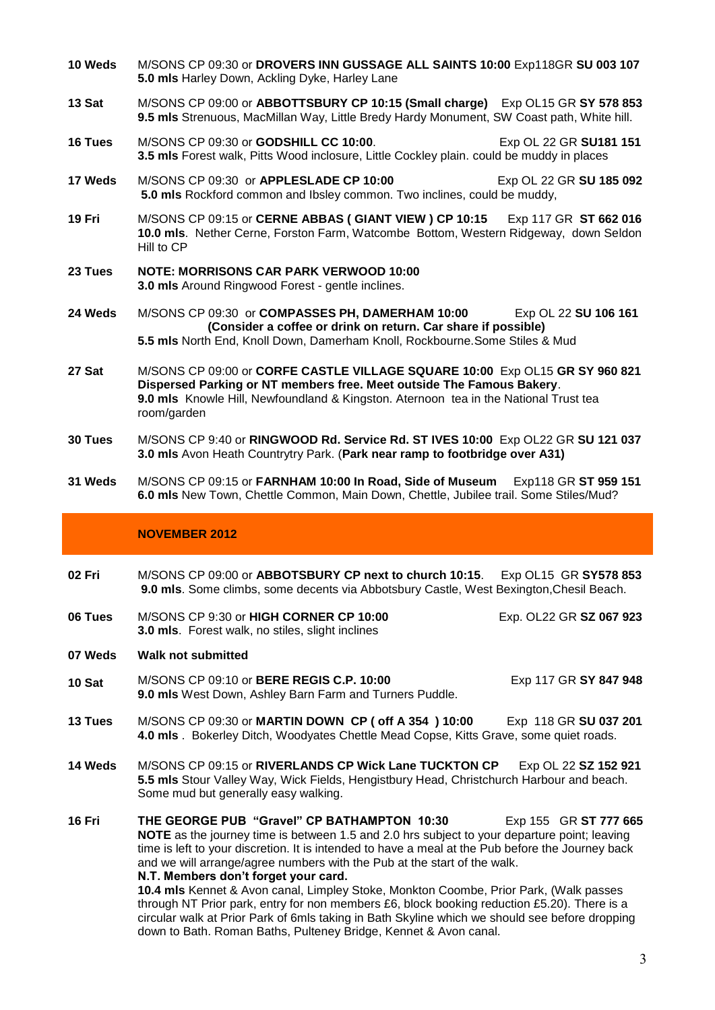- **10 Weds** M/SONS CP 09:30 or **DROVERS INN GUSSAGE ALL SAINTS 10:00** Exp118GR **SU 003 107 5.0 mls** Harley Down, Ackling Dyke, Harley Lane
- **13 Sat** M/SONS CP 09:00 or **ABBOTTSBURY CP 10:15 (Small charge)** Exp OL15 GR **SY 578 853 9.5 mls** Strenuous, MacMillan Way, Little Bredy Hardy Monument, SW Coast path, White hill.
- **16 Tues** M/SONS CP 09:30 or **GODSHILL CC 10:00**. Exp OL 22 GR **SU181 151 3.5 mls** Forest walk, Pitts Wood inclosure, Little Cockley plain. could be muddy in places
- **17 Weds** M/SONS CP 09:30 or **APPLESLADE CP 10:00** Exp OL 22 GR **SU 185 092 5.0 mls** Rockford common and Ibsley common. Two inclines, could be muddy,
- **19 Fri** M/SONS CP 09:15 or **CERNE ABBAS ( GIANT VIEW ) CP 10:15** Exp 117 GR **ST 662 016 10.0 mls**. Nether Cerne, Forston Farm, Watcombe Bottom, Western Ridgeway, down Seldon Hill to CP
- **23 Tues NOTE: MORRISONS CAR PARK VERWOOD 10:00 3.0 mls** Around Ringwood Forest - gentle inclines.
- **24 Weds** M/SONS CP 09:30 or **COMPASSES PH, DAMERHAM 10:00** Exp OL 22 **SU 106 161 (Consider a coffee or drink on return. Car share if possible) 5.5 mls** North End, Knoll Down, Damerham Knoll, Rockbourne.Some Stiles & Mud
- **27 Sat** M/SONS CP 09:00 or **CORFE CASTLE VILLAGE SQUARE 10:00** Exp OL15 **GR SY 960 821 Dispersed Parking or NT members free. Meet outside The Famous Bakery**. **9.0 mls** Knowle Hill, Newfoundland & Kingston. Aternoon tea in the National Trust tea room/garden
- **30 Tues** M/SONS CP 9:40 or **RINGWOOD Rd. Service Rd. ST IVES 10:00** Exp OL22 GR **SU 121 037 3.0 mls** Avon Heath Countrytry Park. (**Park near ramp to footbridge over A31)**
- **31 Weds** M/SONS CP 09:15 or **FARNHAM 10:00 In Road, Side of Museum** Exp118 GR **ST 959 151 6.0 mls** New Town, Chettle Common, Main Down, Chettle, Jubilee trail. Some Stiles/Mud?

### **NOVEMBER 2012**

- **02 Fri** M/SONS CP 09:00 or **ABBOTSBURY CP next to church 10:15**. Exp OL15 GR **SY578 853 9.0 mls**. Some climbs, some decents via Abbotsbury Castle, West Bexington,Chesil Beach.
- **06 Tues** M/SONS CP 9:30 or **HIGH CORNER CP 10:00** Exp. OL22 GR **SZ 067 923 3.0 mls**. Forest walk, no stiles, slight inclines

**07 Weds Walk not submitted**

**10 Sat** M/SONS CP 09:10 or **BERE REGIS C.P. 10:00** Exp 117 GR **SY 847 948 9.0 mls** West Down, Ashley Barn Farm and Turners Puddle.

- **13 Tues** M/SONS CP 09:30 or **MARTIN DOWN CP ( off A 354 ) 10:00** Exp 118 GR **SU 037 201 4.0 mls** . Bokerley Ditch, Woodyates Chettle Mead Copse, Kitts Grave, some quiet roads.
- **14 Weds** M/SONS CP 09:15 or **RIVERLANDS CP Wick Lane TUCKTON CP** Exp OL 22 **SZ 152 921 5.5 mls** Stour Valley Way, Wick Fields, Hengistbury Head, Christchurch Harbour and beach. Some mud but generally easy walking.
- **16 Fri THE GEORGE PUB "Gravel" CP BATHAMPTON 10:30** Exp 155 GR **ST 777 665 NOTE** as the journey time is between 1.5 and 2.0 hrs subject to your departure point; leaving time is left to your discretion. It is intended to have a meal at the Pub before the Journey back and we will arrange/agree numbers with the Pub at the start of the walk. **N.T. Members don't forget your card.**

**10.4 mls** Kennet & Avon canal, Limpley Stoke, Monkton Coombe, Prior Park, (Walk passes through NT Prior park, entry for non members £6, block booking reduction £5.20). There is a circular walk at Prior Park of 6mls taking in Bath Skyline which we should see before dropping down to Bath. Roman Baths, Pulteney Bridge, Kennet & Avon canal.